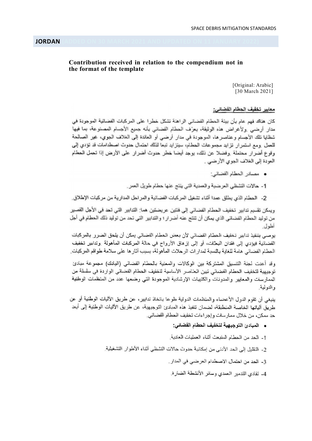# Contribution received in relation to the compendium not in the format of the template

[Original: Arabic] [30 March 2021]

# معابير تخفيف الحطام الفضاني:

كان هناك فهم عام بأن بينة الحطام الفضائي الراهنة تشكل خطرا على المركبات الفضائية الموجودة في مدار أرضيي ولأغراض هذه الوثيقة، يعرّف الحطام الفضاني بأنه جميع الأجسام المصنوعة، بما فيها شظايا تلك الأجسام وعناصر ها، الموجودة في مدار أرضي أو العاندة إلى الغلاف الجوي، غير الصالحة للعمل .ومع استمر ار تزايد مجموعات الحطام، سيتزايد تبعا لذلك احتمال حدوث اصطدامات قد تؤدي إلى وقوع أضرار محتملة وفضلا عن ذلك، يوجد أيضا خطر حدوث أضرار على الأرض إذا تحمل الحطام العودة إلى الغلاف الجوي الأرضى .

- مصادر الحطام الفضائي:
- 1- حالات التشظي العرضية والعمدية التي ينتج عنها حطام طويل العمر
- 2- الحطام الذي يطلق عمدا أثناء تشغيل المركبات الفضائية والمراحل المدارية من مركبات الإطلاق.

ويمكن تقسيم تدابير تخفيف الـحطام الفضائبي إلى فنتين عريضتين هما: التدابير التي تـحد في الأجل القصير من توليد الحطام الفضائي الذي يمكن أن تنتج عنه أضر ار ؛ والتدابير التي تحد من توليد ذلك الحطام في أجل أطول.

يوصـي بتنفيذ تدابير تخفيف الـحطـام الفضـائي لأن بـعض الـحطـام الفضـائي يمكن أن يلحق الضـرر بالمركبات الفضانية فيؤدي إلى فقدان البعثات، أو إلى إز هاق الأرواح في حالة المركبات المأهولة وتدابير تخفيف الحطام الفضائي هامة للغاية بالنسبة لمدار ات الر حلات المأهولة، بسبب آثار ها على سلامة طواقع المركبات.

وقد أعدت لجنة التنسيق المشتركة بين الوكالات والمعنية بالمحطام الفضائبي (اليادك) مجموعة مبادئ توجيهية لتخفيف الحطام الفضائي تبين العناصر الأساسية لتخفيف الحطام الفضائي الواردة في سلسلة من الممارسات والمعايير والمدونات والكتيبات الإرشادية الموجودة التبي وضعها عدد من المنظمات الوطنية والنولية

ينبغي أن تقوم الدول الأعضاء والمنظمات الدولية طوعا باتخاذ تدابير، عن طريق الأليات الوطنية أو عن طريق ألياتها الخاصة المنطبقة، لضمان تنفيذ هذه المبادئ التوجيهية، عن طريق الأليات الوطنية إلى أبعد حد ممكن، من خلال ممارسات وإجراءات تخفيف الحطام الفضائي.

- المبادئ التوجيهية لتخفيف الحطام الفضاني:
- 1- الحد من الحطام المنبعث أثناء العمليات العادية.
- 2- التقليل إلى الحد الأدنى من إمكانية حدوث حالات التشظي أثناء الأطوار التشغيلية.
	- 3- الحد من احتمال الاصطدام العرضي في المدار .
	- 4- تفادي التدمير العمدي وسانر الأنشطة الضارة.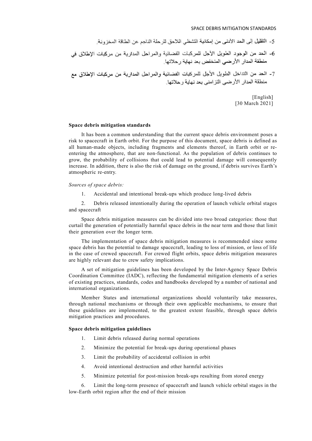### SPACE DEBRIS MITIGATION STANDARDS

[English] [30 March 2021]

#### Space debris mitigation standards

 It has been a common understanding that the current space debris environment poses a risk to spacecraft in Earth orbit. For the purpose of this document, space debris is defined as all human-made objects, including fragments and elements thereof, in Earth orbit or reentering the atmosphere, that are non-functional. As the population of debris continues to grow, the probability of collisions that could lead to potential damage will consequently increase. In addition, there is also the risk of damage on the ground, if debris survives Earth's atmospheric re-entry.

#### Sources of space debris:

1. Accidental and intentional break-ups which produce long-lived debris

 2. Debris released intentionally during the operation of launch vehicle orbital stages and spacecraft

 Space debris mitigation measures can be divided into two broad categories: those that curtail the generation of potentially harmful space debris in the near term and those that limit their generation over the longer term.

 The implementation of space debris mitigation measures is recommended since some space debris has the potential to damage spacecraft, leading to loss of mission, or loss of life in the case of crewed spacecraft. For crewed flight orbits, space debris mitigation measures are highly relevant due to crew safety implications.

 A set of mitigation guidelines has been developed by the Inter-Agency Space Debris Coordination Committee (IADC), reflecting the fundamental mitigation elements of a series of existing practices, standards, codes and handbooks developed by a number of national and international organizations.

 Member States and international organizations should voluntarily take measures, through national mechanisms or through their own applicable mechanisms, to ensure that these guidelines are implemented, to the greatest extent feasible, through space debris mitigation practices and procedures.

### Space debris mitigation guidelines

- 1. Limit debris released during normal operations
- 2. Minimize the potential for break-ups during operational phases
- 3. Limit the probability of accidental collision in orbit
- 4. Avoid intentional destruction and other harmful activities
- 5. Minimize potential for post-mission break-ups resulting from stored energy

 6. Limit the long-term presence of spacecraft and launch vehicle orbital stages in the low-Earth orbit region after the end of their mission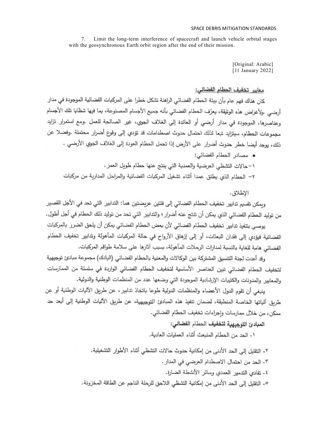Limit the long-term interference of spacecraft and launch vehicle orbital stages  $7_{\scriptscriptstyle{\circ}}$ with the geosynchronous Earth orbit region after the end of their mission.

> [Original: Arabic] [11 January 2022]

# معابير تخفيف الحطام الفضائي:

كان هناك فهم عام بأن بيئة الحطام الفضائي الراهنة تشكل خطرا على المركبات الفضائية الموجودة في مدار أرضي .ولأغراض هذه الوثيقة، يعرّف الحطام الفضائي بأنه جميع الأجسام المصنوعة، بما فيها شظايا تلك الأجسام وعناصرها، الموجودة في مدار أرضي أو العائدة إلى الغلاف الجوي، غير الصالحة للعمل .ومع استمرار تزايد مجموعات الحطام، سيتزايد تبعا لذلك احتمال حدوث اصطدامات قد تؤدي إلى وقوع أضرار محتملة .وفضلا عن ذلك، يوجد أيضا خطر حدوث أضرار على الأرض إذا تحمل الحطام العودة إلى الغلاف الجوي الأرضي .

• مصادر الحطام الفضائي: ١–حالات التشظي العرضية والعمدية التي ينتج عنها حطام طويل العمر . ٢– الحطام الذي يطلق عمدا أثناء تشغيل المركبات الفضائية والمراحل المدارية من مركبات

الاطلاق.

ويمكن تقسيم تدابير. تخفيف الحطام الفضائي إلى فئتين عريضتين هما: التدابير. التي تحد في الأجل القصير. من توليد الحطام الفضائي الذي يمكن أن تنتج عنه أضرار ؛ والتدابير التي تحد من توليد ذلك الحطام في أجل أطول.

يوصـي بتنفيذ تدابير. تخفيف الـحطـام الفضـائي لأن بعض الـحطـام الفضـائي يمكن أن يلحق الضرر بالمركبات الفضائية فيؤدي إلى فقدان البعثات، أو إلى إزهاق الأرواح في حالة المركبات المأهولة وتدابير تخفيف الحطام الفضائي هامة للغاية بالنسبة لمدارات الرحلات المأهولة، بسبب آثارها على سلامة طواقم المركبات.

وقد أعدت لجنة التتسيق المشتركة بين الوكالات والمعنية بالحطام الفضائي (اليادك) مجموعة مبادئ توجيهية لتخفيف الحطام الفضائي تبين العناصر الأساسية لتخفيف الحطام الفضائي الواردة في سلسلة من الممارسات والمعابير والمدونات والكتيبات الإرشادية الموجودة التي وضعها عدد من المنظمات الوطنية والدولية.

ينبغي أن تقوم الدول الأعضاء والمنظمات الدولية طوعا باتخاذ تدابير ، عن طريق الآليات الوطنية أو عن طريق آلياتها الخاصة المنطبقة، لضمان تنفيذ هذه المبادئ التوجيهية، عن طريق الآليات الوطنية إلى أبعد حد ممكن، من خلال ممارسات وإجراءات تخفيف الحطام الفضائي.

المبادئ التوجيهية لتخفيف الحطام الفضائي:

١- الحد من الحطام المنبعث أثناء العمليات العادية.

٢- التقليل إلى الحد الأدنى من إمكانية حدوث حالات التشظي أثناء الأطوار التشغيلية. ٣- الحد من احتمال الاصطدام العرضي في المدار . ٤- نفادي التدمير العمدي وسائر الأنشطة الضارة. ٥- التقليل إلى الحد الأنني من إمكانية التشظي اللاحق للرحلة الناجم عن الطاقة المخزونة.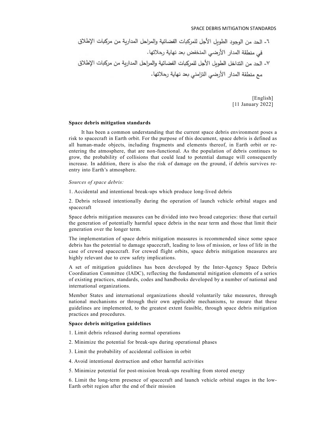[English] [11 January 2022]

### Space debris mitigation standards

 It has been a common understanding that the current space debris environment poses a risk to spacecraft in Earth orbit. For the purpose of this document, space debris is defined as all human-made objects, including fragments and elements thereof, in Earth orbit or reentering the atmosphere, that are non-functional. As the population of debris continues to grow, the probability of collisions that could lead to potential damage will consequently increase. In addition, there is also the risk of damage on the ground, if debris survives reentry into Earth's atmosphere.

## Sources of space debris:

1. Accidental and intentional break-ups which produce long-lived debris

2. Debris released intentionally during the operation of launch vehicle orbital stages and spacecraft

Space debris mitigation measures can be divided into two broad categories: those that curtail the generation of potentially harmful space debris in the near term and those that limit their generation over the longer term.

The implementation of space debris mitigation measures is recommended since some space debris has the potential to damage spacecraft, leading to loss of mission, or loss of life in the case of crewed spacecraft. For crewed flight orbits, space debris mitigation measures are highly relevant due to crew safety implications.

A set of mitigation guidelines has been developed by the Inter-Agency Space Debris Coordination Committee (IADC), reflecting the fundamental mitigation elements of a series of existing practices, standards, codes and handbooks developed by a number of national and international organizations.

Member States and international organizations should voluntarily take measures, through national mechanisms or through their own applicable mechanisms, to ensure that these guidelines are implemented, to the greatest extent feasible, through space debris mitigation practices and procedures.

## Space debris mitigation guidelines

- 1. Limit debris released during normal operations
- 2. Minimize the potential for break-ups during operational phases
- 3. Limit the probability of accidental collision in orbit
- 4. Avoid intentional destruction and other harmful activities
- 5. Minimize potential for post-mission break-ups resulting from stored energy

6. Limit the long-term presence of spacecraft and launch vehicle orbital stages in the low-Earth orbit region after the end of their mission